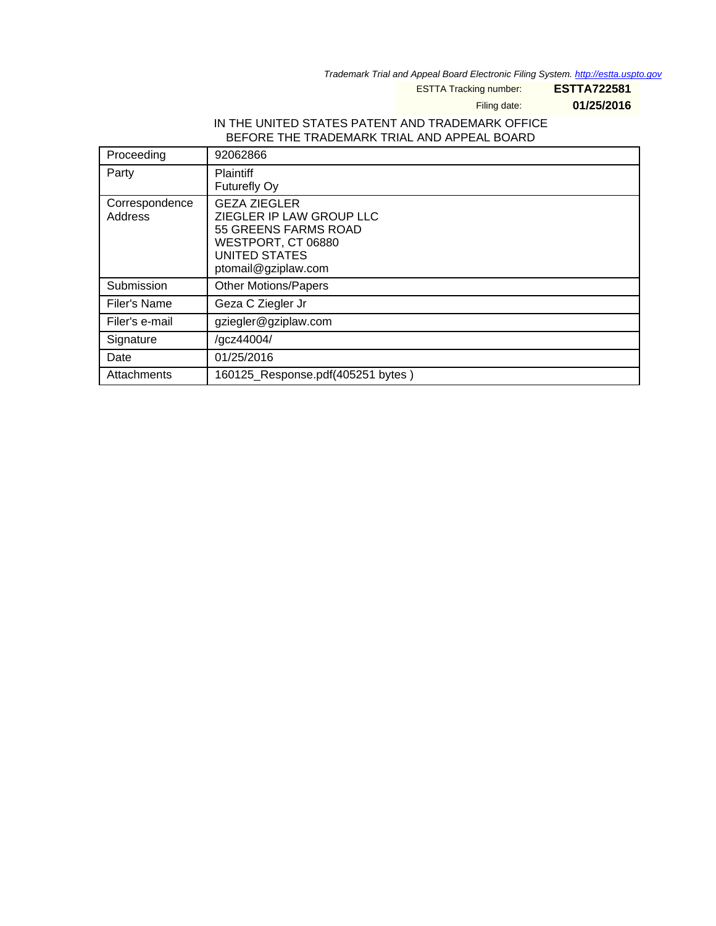Trademark Trial and Appeal Board Electronic Filing System. <http://estta.uspto.gov>

ESTTA Tracking number: **ESTTA722581**

Filing date: **01/25/2016**

### IN THE UNITED STATES PATENT AND TRADEMARK OFFICE BEFORE THE TRADEMARK TRIAL AND APPEAL BOARD

| Proceeding                | 92062866                                                                                                                                     |
|---------------------------|----------------------------------------------------------------------------------------------------------------------------------------------|
| Party                     | <b>Plaintiff</b><br>Futurefly Oy                                                                                                             |
| Correspondence<br>Address | <b>GEZA ZIEGLER</b><br>ZIEGLER IP LAW GROUP LLC<br>55 GREENS FARMS ROAD<br>WESTPORT, CT 06880<br><b>UNITED STATES</b><br>ptomail@gziplaw.com |
| Submission                | <b>Other Motions/Papers</b>                                                                                                                  |
| Filer's Name              | Geza C Ziegler Jr                                                                                                                            |
| Filer's e-mail            | gziegler@gziplaw.com                                                                                                                         |
| Signature                 | /gcz44004/                                                                                                                                   |
| Date                      | 01/25/2016                                                                                                                                   |
| Attachments               | 160125_Response.pdf(405251 bytes)                                                                                                            |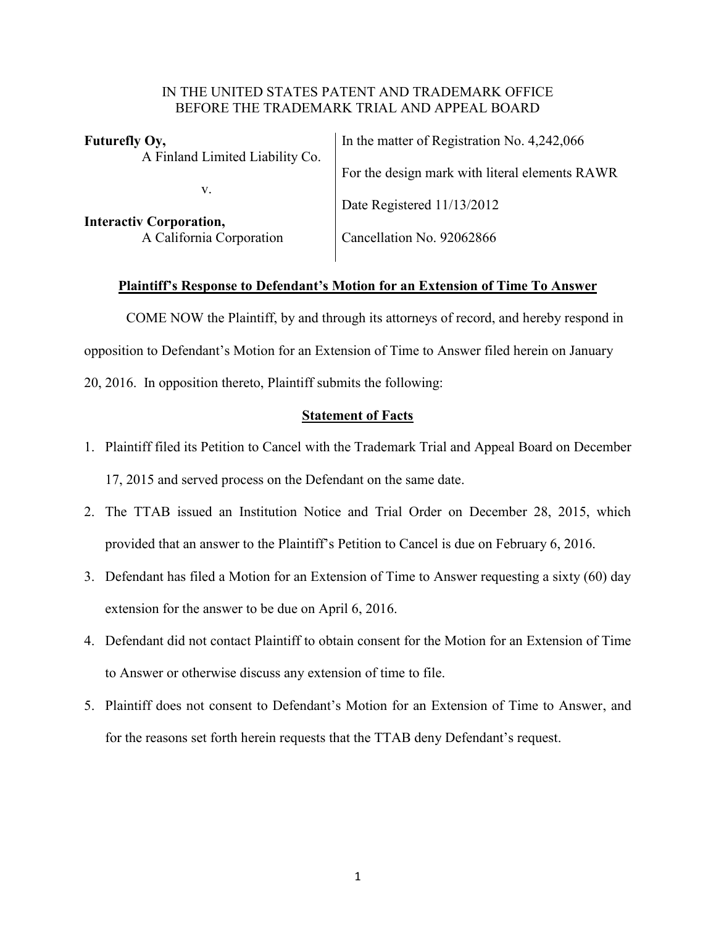### IN THE UNITED STATES PATENT AND TRADEMARK OFFICE BEFORE THE TRADEMARK TRIAL AND APPEAL BOARD

| In the matter of Registration No. 4,242,066    |
|------------------------------------------------|
| For the design mark with literal elements RAWR |
| Date Registered 11/13/2012                     |
| Cancellation No. 92062866                      |
|                                                |

# **Plaintiff's Response to Defendant's Motion for an Extension of Time To Answer**

COME NOW the Plaintiff, by and through its attorneys of record, and hereby respond in opposition to Defendant's Motion for an Extension of Time to Answer filed herein on January 20, 2016. In opposition thereto, Plaintiff submits the following:

## **Statement of Facts**

- 1. Plaintiff filed its Petition to Cancel with the Trademark Trial and Appeal Board on December 17, 2015 and served process on the Defendant on the same date.
- 2. The TTAB issued an Institution Notice and Trial Order on December 28, 2015, which provided that an answer to the Plaintiff's Petition to Cancel is due on February 6, 2016.
- 3. Defendant has filed a Motion for an Extension of Time to Answer requesting a sixty (60) day extension for the answer to be due on April 6, 2016.
- 4. Defendant did not contact Plaintiff to obtain consent for the Motion for an Extension of Time to Answer or otherwise discuss any extension of time to file.
- 5. Plaintiff does not consent to Defendant's Motion for an Extension of Time to Answer, and for the reasons set forth herein requests that the TTAB deny Defendant's request.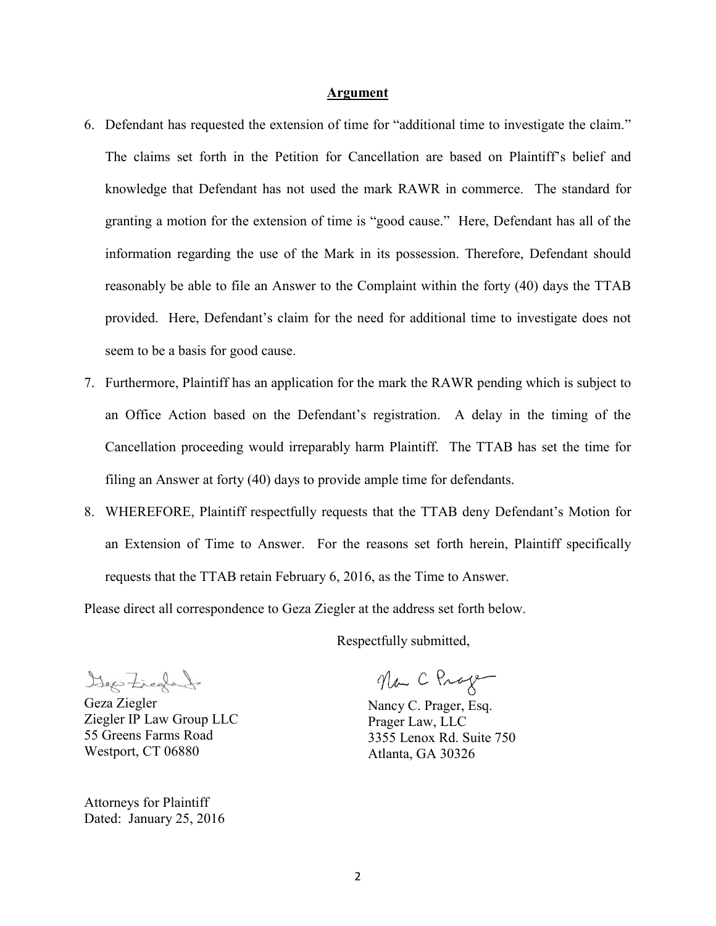#### **Argument**

- 6. Defendant has requested the extension of time for "additional time to investigate the claim." The claims set forth in the Petition for Cancellation are based on Plaintiff's belief and knowledge that Defendant has not used the mark RAWR in commerce. The standard for granting a motion for the extension of time is "good cause." Here, Defendant has all of the information regarding the use of the Mark in its possession. Therefore, Defendant should reasonably be able to file an Answer to the Complaint within the forty (40) days the TTAB provided. Here, Defendant's claim for the need for additional time to investigate does not seem to be a basis for good cause.
- 7. Furthermore, Plaintiff has an application for the mark the RAWR pending which is subject to an Office Action based on the Defendant's registration. A delay in the timing of the Cancellation proceeding would irreparably harm Plaintiff. The TTAB has set the time for filing an Answer at forty (40) days to provide ample time for defendants.
- 8. WHEREFORE, Plaintiff respectfully requests that the TTAB deny Defendant's Motion for an Extension of Time to Answer. For the reasons set forth herein, Plaintiff specifically requests that the TTAB retain February 6, 2016, as the Time to Answer.

Please direct all correspondence to Geza Ziegler at the address set forth below.

Respectfully submitted,

Geo Freda

Geza Ziegler Ziegler IP Law Group LLC 55 Greens Farms Road Westport, CT 06880

Attorneys for Plaintiff Dated: January 25, 2016

Na C Prage

Nancy C. Prager, Esq. Prager Law, LLC 3355 Lenox Rd. Suite 750 Atlanta, GA 30326